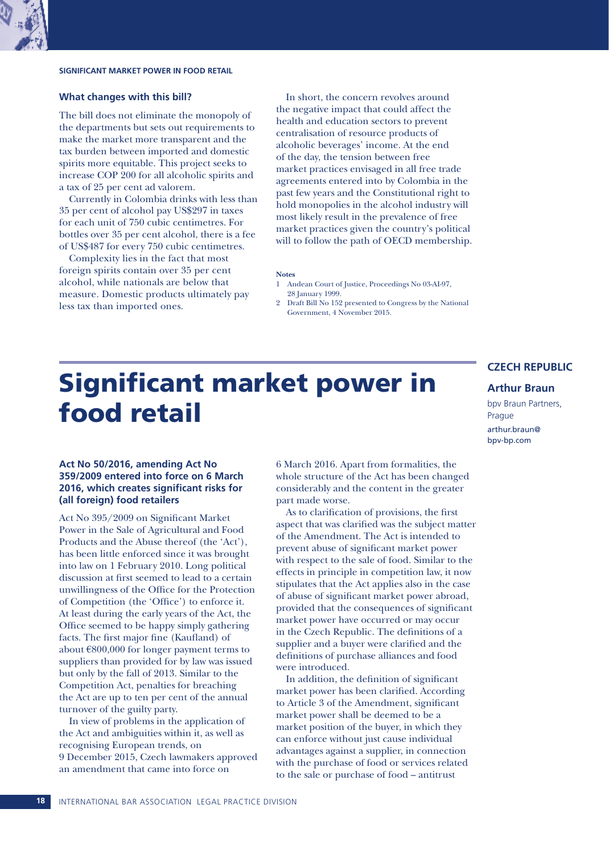# **SIGNIFICANT MARKET POWER IN FOOD RETAIL**

### **What changes with this bill?**

The bill does not eliminate the monopoly of the departments but sets out requirements to make the market more transparent and the tax burden between imported and domestic spirits more equitable. This project seeks to increase COP 200 for all alcoholic spirits and a tax of 25 per cent ad valorem.

Currently in Colombia drinks with less than 35 per cent of alcohol pay US\$297 in taxes for each unit of 750 cubic centimetres. For bottles over 35 per cent alcohol, there is a fee of US\$487 for every 750 cubic centimetres.

Complexity lies in the fact that most foreign spirits contain over 35 per cent alcohol, while nationals are below that measure. Domestic products ultimately pay less tax than imported ones.

In short, the concern revolves around the negative impact that could affect the health and education sectors to prevent centralisation of resource products of alcoholic beverages' income. At the end of the day, the tension between free market practices envisaged in all free trade agreements entered into by Colombia in the past few years and the Constitutional right to hold monopolies in the alcohol industry will most likely result in the prevalence of free market practices given the country's political will to follow the path of OECD membership.

#### **Notes**

- 1 Andean Court of Justice, Proceedings No 03-AI-97, 28 January 1999.
- 2 Draft Bill No 152 presented to Congress by the National Government, 4 November 2015.

# Significant market power in food retail

# **CZECH REPUBLIC**

# **Arthur Braun**

bpv Braun Partners, Prague arthur.braun@ bpv-bp.com

# **Act No 50/2016, amending Act No 359/2009 entered into force on 6 March 2016, which creates significant risks for (all foreign) food retailers**

Act No 395/2009 on Significant Market Power in the Sale of Agricultural and Food Products and the Abuse thereof (the 'Act'), has been little enforced since it was brought into law on 1 February 2010. Long political discussion at first seemed to lead to a certain unwillingness of the Office for the Protection of Competition (the 'Office') to enforce it. At least during the early years of the Act, the Office seemed to be happy simply gathering facts. The first major fine (Kaufland) of about €800,000 for longer payment terms to suppliers than provided for by law was issued but only by the fall of 2013. Similar to the Competition Act, penalties for breaching the Act are up to ten per cent of the annual turnover of the guilty party.

In view of problems in the application of the Act and ambiguities within it, as well as recognising European trends, on 9 December 2015, Czech lawmakers approved an amendment that came into force on

6 March 2016. Apart from formalities, the whole structure of the Act has been changed considerably and the content in the greater part made worse.

As to clarification of provisions, the first aspect that was clarified was the subject matter of the Amendment. The Act is intended to prevent abuse of significant market power with respect to the sale of food. Similar to the effects in principle in competition law, it now stipulates that the Act applies also in the case of abuse of significant market power abroad, provided that the consequences of significant market power have occurred or may occur in the Czech Republic. The definitions of a supplier and a buyer were clarified and the definitions of purchase alliances and food were introduced.

In addition, the definition of significant market power has been clarified. According to Article 3 of the Amendment, significant market power shall be deemed to be a market position of the buyer, in which they can enforce without just cause individual advantages against a supplier, in connection with the purchase of food or services related to the sale or purchase of food – antitrust